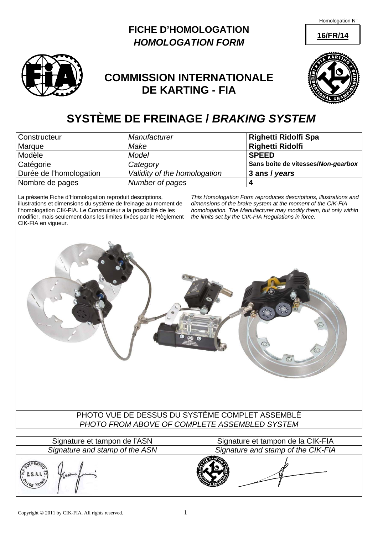Homologation N°

**16/FR/14**





# **COMMISSION INTERNATIONALE DE KARTING - FIA**



# **SYSTÈME DE FREINAGE /** *BRAKING SYSTEM*

| Constructeur                                                                                                                                                                                                                                                   | Manufacturer                                                                                                                |  | Righetti Ridolfi Spa                                                                                                             |  |  |  |
|----------------------------------------------------------------------------------------------------------------------------------------------------------------------------------------------------------------------------------------------------------------|-----------------------------------------------------------------------------------------------------------------------------|--|----------------------------------------------------------------------------------------------------------------------------------|--|--|--|
| Marque                                                                                                                                                                                                                                                         | Make                                                                                                                        |  | <b>Righetti Ridolfi</b>                                                                                                          |  |  |  |
| Modèle                                                                                                                                                                                                                                                         | <b>Model</b>                                                                                                                |  | <b>SPEED</b>                                                                                                                     |  |  |  |
| Catégorie                                                                                                                                                                                                                                                      | Category                                                                                                                    |  | Sans boîte de vitesses/Non-gearbox                                                                                               |  |  |  |
| Durée de l'homologation                                                                                                                                                                                                                                        | Validity of the homologation                                                                                                |  | 3 ans / years                                                                                                                    |  |  |  |
| Nombre de pages                                                                                                                                                                                                                                                | Number of pages                                                                                                             |  | 4                                                                                                                                |  |  |  |
| CIK-FIA en vigueur.                                                                                                                                                                                                                                            | La présente Fiche d'Homologation reproduit descriptions,<br>illustrations et dimensions du système de freinage au moment de |  | This Homologation Form reproduces descriptions, illustrations and<br>dimensions of the brake system at the moment of the CIK-FIA |  |  |  |
| l'homologation CIK-FIA. Le Constructeur a la possibilité de les<br>homologation. The Manufacturer may modify them, but only within<br>modifier, mais seulement dans les limites fixées par le Règlement<br>the limits set by the CIK-FIA Regulations in force. |                                                                                                                             |  |                                                                                                                                  |  |  |  |
| PHOTO VUE DE DESSUS DU SYSTÈME COMPLET ASSEMBLÈ<br>PHOTO FROM ABOVE OF COMPLETE ASSEMBLED SYSTEM                                                                                                                                                               |                                                                                                                             |  |                                                                                                                                  |  |  |  |
|                                                                                                                                                                                                                                                                |                                                                                                                             |  |                                                                                                                                  |  |  |  |
|                                                                                                                                                                                                                                                                |                                                                                                                             |  |                                                                                                                                  |  |  |  |

| Signature et tampon de l'ASN                                                 | Signature et tampon de la CIK-FIA  |  |  |
|------------------------------------------------------------------------------|------------------------------------|--|--|
| Signature and stamp of the ASN                                               | Signature and stamp of the CIK-FIA |  |  |
| $\left( \sum_{i=1}^{N} C_i S_i A_i I_i \right)$<br>Kapho<br><b>POTAS ROW</b> |                                    |  |  |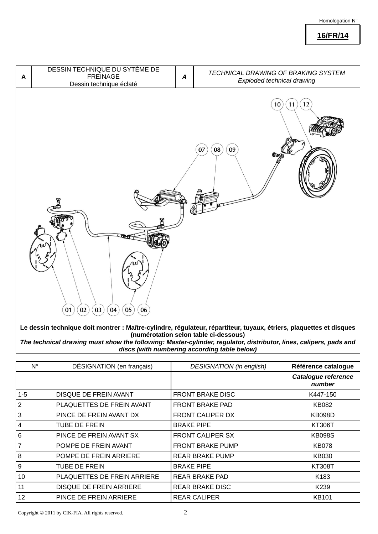#### Homologation N°

**16/FR/14**



**Le dessin technique doit montrer : Maître-cylindre, régulateur, répartiteur, tuyaux, étriers, plaquettes et disques (numérotation selon table ci-dessous)** 

*The technical drawing must show the following: Master-cylinder, regulator, distributor, lines, calipers, pads and discs (with numbering according table below)*

| N°             | DÉSIGNATION (en français)    | <b>DESIGNATION</b> (in english) | Référence catalogue                  |
|----------------|------------------------------|---------------------------------|--------------------------------------|
|                |                              |                                 | <b>Catalogue reference</b><br>number |
| $1 - 5$        | <b>DISQUE DE FREIN AVANT</b> | <b>FRONT BRAKE DISC</b>         | K447-150                             |
| $\overline{2}$ | PLAQUETTES DE FREIN AVANT    | <b>FRONT BRAKE PAD</b>          | KB082                                |
| $\mathbf{3}$   | PINCE DE FREIN AVANT DX      | <b>FRONT CALIPER DX</b>         | <b>KB098D</b>                        |
| $\overline{4}$ | <b>TUBE DE FREIN</b>         | <b>BRAKE PIPE</b>               | KT306T                               |
| 6              | PINCE DE FREIN AVANT SX      | <b>FRONT CALIPER SX</b>         | <b>KB098S</b>                        |
| $\overline{7}$ | POMPE DE FREIN AVANT         | <b>FRONT BRAKE PUMP</b>         | <b>KB078</b>                         |
| 8              | POMPE DE FREIN ARRIERE       | <b>REAR BRAKE PUMP</b>          | KB030                                |
| 9              | TUBE DE FREIN                | <b>BRAKE PIPE</b>               | <b>KT308T</b>                        |
| 10             | PLAQUETTES DE FREIN ARRIERE  | REAR BRAKE PAD                  | K183                                 |
| 11             | DISQUE DE FREIN ARRIERE      | <b>REAR BRAKE DISC</b>          | K <sub>239</sub>                     |
| 12             | PINCE DE FREIN ARRIERE       | <b>REAR CALIPER</b>             | <b>KB101</b>                         |

Copyright  $@ 2011$  by CIK-FIA. All rights reserved.  $2$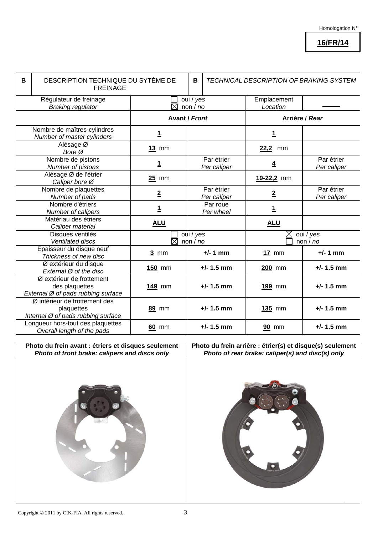## **16/FR/14**

| B | DESCRIPTION TECHNIQUE DU SYTÈME DE<br><b>FREINAGE</b>                             |                                    |                                                    |                                    | TECHNICAL DESCRIPTION OF BRAKING SYSTEM |                           |  |
|---|-----------------------------------------------------------------------------------|------------------------------------|----------------------------------------------------|------------------------------------|-----------------------------------------|---------------------------|--|
|   | Régulateur de freinage<br><b>Braking regulator</b>                                |                                    | oui / yes<br>Emplacement<br>non $/$ no<br>Location |                                    |                                         |                           |  |
|   |                                                                                   |                                    | <b>Avant / Front</b>                               |                                    | Arrière / Rear                          |                           |  |
|   | Nombre de maîtres-cylindres<br>Number of master cylinders                         | <u>1</u>                           |                                                    |                                    | <u>1</u>                                |                           |  |
|   | Alésage Ø<br>Bore Ø                                                               | $13$ mm                            |                                                    |                                    | 22,2<br>mm                              |                           |  |
|   | Nombre de pistons<br>Number of pistons                                            | 1                                  |                                                    | Par étrier<br>Per caliper          | $\overline{4}$                          | Par étrier<br>Per caliper |  |
|   | Alésage Ø de l'étrier<br>Caliper bore Ø                                           | $25$ mm                            |                                                    |                                    | 19-22,2 mm                              |                           |  |
|   | Nombre de plaquettes<br>Number of pads                                            | $\overline{2}$                     |                                                    | Par étrier<br>Per caliper          | $\overline{2}$                          | Par étrier<br>Per caliper |  |
|   | Nombre d'étriers<br>Number of calipers                                            | $\mathbf{1}$                       |                                                    | Par roue<br>Per wheel              | $\mathbf{1}$                            |                           |  |
|   | Matériau des étriers<br>Caliper material                                          | <b>ALU</b>                         |                                                    |                                    | <b>ALU</b>                              |                           |  |
|   | Disques ventilés<br>Ventilated discs                                              | oui / yes<br>$\boxtimes$<br>non/no |                                                    | oui / yes<br>$\boxtimes$<br>non/no |                                         |                           |  |
|   | Épaisseur du disque neuf<br>Thickness of new disc                                 | $3 \text{ mm}$                     |                                                    | $+/- 1$ mm                         | $17$ mm                                 | $+/- 1$ mm                |  |
|   | Ø extérieur du disque<br>External Ø of the disc                                   | 150 mm                             |                                                    | $+/- 1.5$ mm                       | 200 mm                                  | $+/- 1.5$ mm              |  |
|   | Ø extérieur de frottement<br>des plaquettes<br>External Ø of pads rubbing surface | 149 mm                             |                                                    | $+/- 1.5$ mm                       | 199 mm                                  | $+/- 1.5$ mm              |  |
|   | Ø intérieur de frottement des<br>plaquettes<br>Internal Ø of pads rubbing surface | 89 mm                              |                                                    | $+/- 1.5$ mm                       | 135 mm                                  | $+/- 1.5$ mm              |  |
|   | Longueur hors-tout des plaquettes<br>Overall length of the pads                   | 60 mm                              |                                                    | $+/- 1.5$ mm                       | <b>90 mm</b>                            | $+/- 1.5$ mm              |  |

**Photo du frein avant : étriers et disques seulement**  *Photo of front brake: calipers and discs only* 

**Photo du frein arrière : étrier(s) et disque(s) seulement**  *Photo of rear brake: caliper(s) and disc(s) only* 



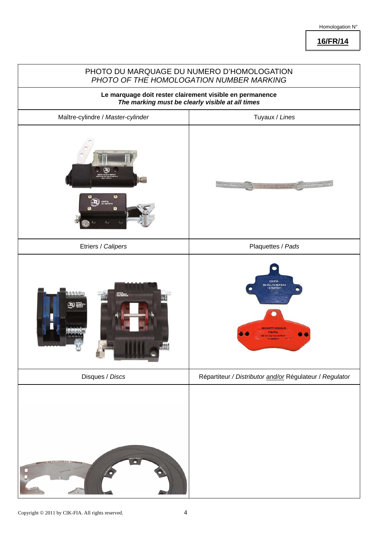### Homologation N°

**16/FR/14**